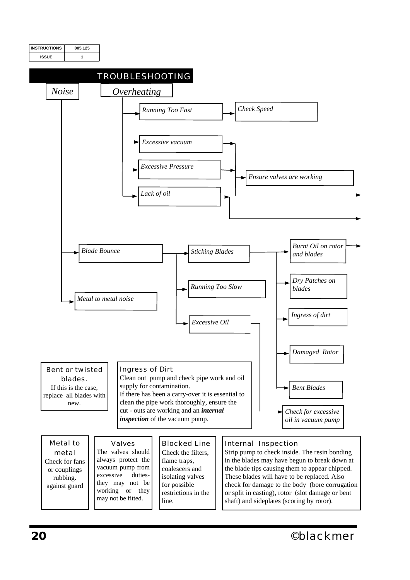